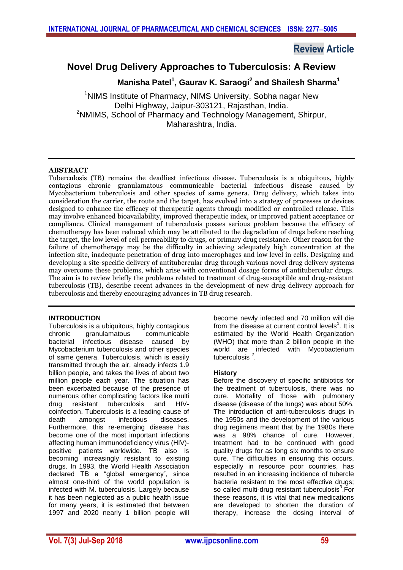# **Review Article**

# **Novel Drug Delivery Approaches to Tuberculosis: A Review**

 **Manisha Patel<sup>1</sup> , Gaurav K. Saraogi<sup>2</sup> and Shailesh Sharma<sup>1</sup>**

<sup>1</sup>NIMS Institute of Pharmacy, NIMS University, Sobha nagar New Delhi Highway, Jaipur-303121, Rajasthan, India. <sup>2</sup>NMIMS, School of Pharmacy and Technology Management, Shirpur, Maharashtra, India.

# **ABSTRACT**

Tuberculosis (TB) remains the deadliest infectious disease. Tuberculosis is a ubiquitous, highly contagious chronic granulamatous communicable bacterial infectious disease caused by Mycobacterium tuberculosis and other species of same genera. Drug delivery, which takes into consideration the carrier, the route and the target, has evolved into a strategy of processes or devices designed to enhance the efficacy of therapeutic agents through modified or controlled release. This may involve enhanced bioavailability, improved therapeutic index, or improved patient acceptance or compliance. Clinical management of tuberculosis posses serious problem because the efficacy of chemotherapy has been reduced which may be attributed to the degradation of drugs before reaching the target, the low level of cell permeability to drugs, or primary drug resistance. Other reason for the failure of chemotherapy may be the difficulty in achieving adequately high concentration at the infection site, inadequate penetration of drug into macrophages and low level in cells. Designing and developing a site-specific delivery of antitubercular drug through various novel drug delivery systems may overcome these problems, which arise with conventional dosage forms of antitubercular drugs. The aim is to review briefly the problems related to treatment of drug-susceptible and drug-resistant tuberculosis (TB), describe recent advances in the development of new drug delivery approach for tuberculosis and thereby encouraging advances in TB drug research.

# **INTRODUCTION**

Tuberculosis is a ubiquitous, highly contagious chronic granulamatous communicable bacterial infectious disease caused by Mycobacterium tuberculosis and other species of same genera. Tuberculosis, which is easily transmitted through the air, already infects 1.9 billion people, and takes the lives of about two million people each year. The situation has been excerbated because of the presence of numerous other complicating factors like multi drug resistant tuberculosis and HIVcoinfection. Tuberculosis is a leading cause of death amongst infectious diseases. Furthermore, this re-emerging disease has become one of the most important infections affecting human immunodeficiency virus (HIV) positive patients worldwide. TB also is becoming increasingly resistant to existing drugs. In 1993, the World Health Association declared TB a "global emergency", since almost one-third of the world population is infected with M. tuberculosis. Largely because it has been neglected as a public health issue for many years, it is estimated that between 1997 and 2020 nearly 1 billion people will

become newly infected and 70 million will die from the disease at current control levels<sup>1</sup>. It is estimated by the World Health Organization (WHO) that more than 2 billion people in the world are infected with Mycobacterium tuberculosis<sup>2</sup>.

# **History**

Before the discovery of specific antibiotics for the treatment of tuberculosis, there was no cure. Mortality of those with pulmonary disease (disease of the lungs) was about 50%. The introduction of anti-tuberculosis drugs in the 1950s and the development of the various drug regimens meant that by the 1980s there was a 98% chance of cure. However, treatment had to be continued with good quality drugs for as long six months to ensure cure. The difficulties in ensuring this occurs, especially in resource poor countries, has resulted in an increasing incidence of tubercle bacteria resistant to the most effective drugs; so called multi-drug resistant tuberculosis<sup>3</sup>.For these reasons, it is vital that new medications are developed to shorten the duration of therapy, increase the dosing interval of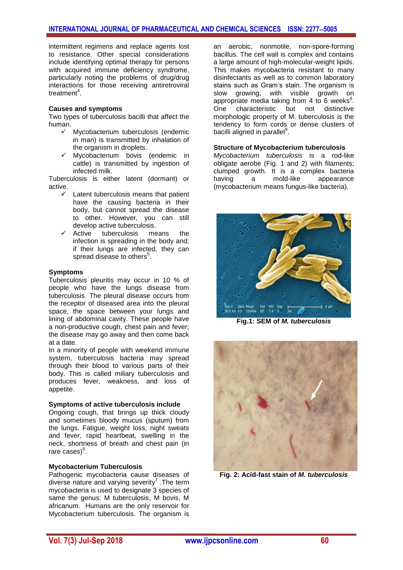intermittent regimens and replace agents lost to resistance. Other special considerations include identifying optimal therapy for persons with acquired immune deficiency syndrome, particularly noting the problems of drug/drug interactions for those receiving antiretroviral treatment<sup>4</sup>.

## **Causes and symptoms**

Two types of tuberculosis bacilli that affect the human.

- Mycobacterium tuberculosis (endemic in man) is transmitted by inhalation of the organism in droplets.
- Mycobacterium bovis (endemic in cattle) is transmitted by ingestion of infected milk.

Tuberculosis is either latent (dormant) or active.

- Latent tuberculosis means that patient have the causing bacteria in their body, but cannot spread the disease to other. However, you can still develop active tuberculosis.<br>← Active tuberculosis me
- tuberculosis means the infection is spreading in the body and; if their lungs are infected, they can spread disease to others $5$ .

## **Symptoms**

Tuberculosis pleuritis may occur in 10 % of people who have the lungs disease from tuberculosis. The pleural disease occurs from the receptor of diseased area into the pleural space, the space between your lungs and lining of abdominal cavity. These people have a non-productive cough, chest pain and fever; the disease may go away and then come back at a date.

In a minority of people with weekend immune system, tuberculosis bacteria may spread through their blood to various parts of their body. This is called miliary tuberculosis and produces fever, weakness, and loss of appetite.

## **Symptoms of active tuberculosis include**

Ongoing cough, that brings up thick cloudy and sometimes bloody mucus (sputum) from the lungs. Fatigue, weight loss, night sweats and fever, rapid heartbeat, swelling in the neck, shortness of breath and chest pain (in rare cases)<sup>6</sup>.

## **Mycobacterium Tuberculosis**

Pathogenic mycobacteria cause diseases of diverse nature and varying severity<sup>7</sup>. The term mycobacteria is used to designate 3 species of same the genus: M tuberculosis, M bovis, M africanum. Humans are the only reservoir for Mycobacterium tuberculosis. The organism is

an aerobic, nonmotile, non-spore-forming bacillus. The cell wall is complex and contains a large amount of high-molecular-weight lipids. This makes mycobacteria resistant to many disinfectants as well as to common laboratory stains such as Gram's stain. The organism is slow growing, with visible growth on appropriate media taking from 4 to 6 weeks $^8$ . One characteristic but not distinctive morphologic property of M. tuberculosis is the tendency to form cords or dense clusters of bacilli aligned in parallel<sup>9</sup>.

#### **Structure of Mycobacterium tuberculosis**

*Mycobacterium tuberculosis* is a rod-like obligate aerobe (Fig. 1 and 2) with filaments; clumped growth. It is a complex bacteria having a mold-like appearance (mycobacterium means fungus-like bacteria).



**Fig.1: SEM of** *M. tuberculosis*



**Fig. 2: Acid-fast stain of** *M. tuberculosis*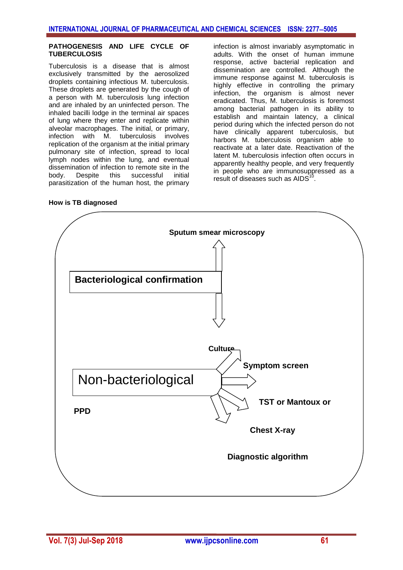#### **PATHOGENESIS AND LIFE CYCLE OF TUBERCULOSIS**

Tuberculosis is a disease that is almost exclusively transmitted by the aerosolized droplets containing infectious M. tuberculosis. These droplets are generated by the cough of a person with M. tuberculosis lung infection and are inhaled by an uninfected person. The inhaled bacilli lodge in the terminal air spaces of lung where they enter and replicate within alveolar macrophages. The initial, or primary, infection with M. tuberculosis involves replication of the organism at the initial primary pulmonary site of infection, spread to local lymph nodes within the lung, and eventual dissemination of infection to remote site in the body. Despite this successful initial parasitization of the human host, the primary

infection is almost invariably asymptomatic in adults. With the onset of human immune response, active bacterial replication and dissemination are controlled. Although the immune response against M. tuberculosis is highly effective in controlling the primary infection, the organism is almost never eradicated. Thus, M. tuberculosis is foremost among bacterial pathogen in its ability to establish and maintain latency, a clinical period during which the infected person do not have clinically apparent tuberculosis, but harbors M. tuberculosis organism able to reactivate at a later date. Reactivation of the latent M. tuberculosis infection often occurs in apparently healthy people, and very frequently in people who are immunosuppressed as a result of diseases such as  $AIDS^{\dagger}$ .

**How is TB diagnosed**

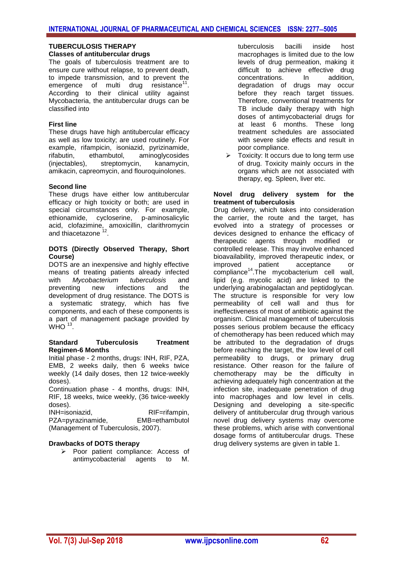## **TUBERCULOSIS THERAPY Classes of antitubercular drugs**

The goals of tuberculosis treatment are to ensure cure without relapse, to prevent death, to impede transmission, and to prevent the  $emergence$  of multi drug resistance<sup>11</sup>. According to their clinical utility against Mycobacteria, the antitubercular drugs can be classified into

# **First line**

These drugs have high antitubercular efficacy as well as low toxicity; are used routinely. For example, rifampicin, isoniazid, pyrizinamide, rifabutin, ethambutol, aminoglycosides (injectables), streptomycin, kanamycin, amikacin, capreomycin, and flouroquinolones.

# **Second line**

These drugs have either low antitubercular efficacy or high toxicity or both; are used in special circumstances only. For example, ethionamide, cycloserine, p-aminosalicylic acid, clofazimine, amoxicillin, clarithromycin and thiacetazone<sup>12</sup>.

## **DOTS (Directly Observed Therapy, Short Course)**

DOTS are an inexpensive and highly effective means of treating patients already infected with *Mycobacterium tuberculosis* and preventing new infections and the development of drug resistance. The DOTS is a systematic strategy, which has five components, and each of these components is a part of management package provided by  $WHO$ <sup>13</sup>.

## **Standard Tuberculosis Treatment Regimen-6 Months**

Initial phase - 2 months, drugs: INH, RIF, PZA, EMB, 2 weeks daily, then 6 weeks twice weekly (14 daily doses, then 12 twice-weekly doses).

Continuation phase - 4 months, drugs: INH, RIF, 18 weeks, twice weekly, (36 twice-weekly doses).

INH=isoniazid, RIF=rifampin, PZA=pyrazinamide, EMB=ethambutol (Management of Tuberculosis, 2007).

## **Drawbacks of DOTS therapy**

Poor patient compliance: Access of antimycobacterial agents to M.

tuberculosis bacilli inside host macrophages is limited due to the low levels of drug permeation, making it difficult to achieve effective drug concentrations. In addition, degradation of drugs may occur before they reach target tissues. Therefore, conventional treatments for TB include daily therapy with high doses of antimycobacterial drugs for at least 6 months. These long treatment schedules are associated with severe side effects and result in poor compliance.

 Toxicity: It occurs due to long term use of drug. Toxicity mainly occurs in the organs which are not associated with therapy, eg. Spleen, liver etc.

#### **Novel drug delivery system for the treatment of tuberculosis**

Drug delivery, which takes into consideration the carrier, the route and the target, has evolved into a strategy of processes or devices designed to enhance the efficacy of therapeutic agents through modified or controlled release. This may involve enhanced bioavailability, improved therapeutic index, or improved patient acceptance or compliance<sup>14</sup>.The mycobacterium cell wall, lipid (e.g. mycolic acid) are linked to the underlying arabinogalactan and peptidoglycan. The structure is responsible for very low permeability of cell wall and thus for ineffectiveness of most of antibiotic against the organism. Clinical management of tuberculosis posses serious problem because the efficacy of chemotherapy has been reduced which may be attributed to the degradation of drugs before reaching the target, the low level of cell permeability to drugs, or primary drug resistance. Other reason for the failure of chemotherapy may be the difficulty in achieving adequately high concentration at the infection site, inadequate penetration of drug into macrophages and low level in cells. Designing and developing a site-specific delivery of antitubercular drug through various novel drug delivery systems may overcome these problems, which arise with conventional dosage forms of antitubercular drugs. These drug delivery systems are given in table 1.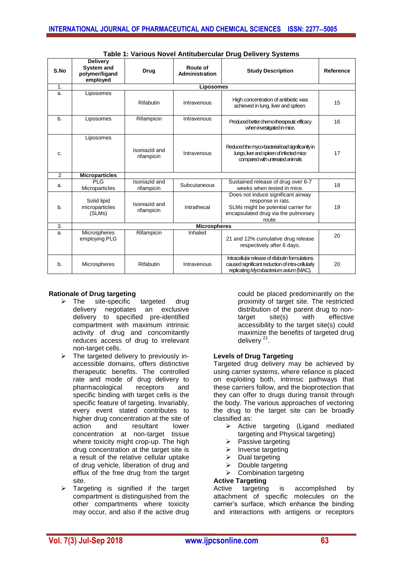| S.No | <b>Delivery</b><br><b>System and</b><br>polymer/ligand<br>employed | <b>Drug</b>                 | <b>Route of</b><br>Administration | <b>Study Description</b>                                                                                                                        | Reference |
|------|--------------------------------------------------------------------|-----------------------------|-----------------------------------|-------------------------------------------------------------------------------------------------------------------------------------------------|-----------|
| 1.   | Liposomes                                                          |                             |                                   |                                                                                                                                                 |           |
| a.   | Liposomes                                                          | <b>Rifabutin</b>            | Intravenous                       | High concentration of antibiotic was<br>achieved in lung, liver and spleen.                                                                     | 15        |
| b.   | Liposomes                                                          | Rifampicin                  | Intravenous                       | Produced better chemo-therapeutic efficacy<br>when investigated in mice.                                                                        | 16        |
| c.   | Liposomes                                                          | Isoniazid and<br>rifampicin | Intravenous                       | Reduced the myco-bacterial load significantly in<br>lungs, liver and spleen of infected mice<br>compared with untreated animals                 | 17        |
| 2    | <b>Microparticles</b>                                              |                             |                                   |                                                                                                                                                 |           |
| a.   | PIG<br>Microparticles                                              | Isoniazid and<br>rifampicin | Subcutaneous                      | Sustained release of drug over 6-7<br>weeks when tested in mice.                                                                                | 18        |
| b.   | Solid lipid<br>microparticles<br>(SLMs)                            | Isoniazid and<br>rifampicin | Intrathecal                       | Does not induce significant airway<br>response in rats.<br>SLMs might be potential carrier for<br>encapsulated drug via the pulmonary<br>route. | 19        |
| 3.   | <b>Microspheres</b>                                                |                             |                                   |                                                                                                                                                 |           |
| a.   | Microspheres<br>employing PLG                                      | Rifampicin                  | Inhaled                           | 21 and 12% cumulative drug release<br>respectively after 6 days.                                                                                | 20        |
| b.   | Microspheres                                                       | Rifabutin                   | Intravenous                       | Intracellular release of rifabutin formulations<br>caused significant reduction of intra-cellularly<br>replicating Mycobacterium avium (MAC).   | 20        |

**Table 1: Various Novel Antitubercular Drug Delivery Systems**

## **Rationale of Drug targeting**

- $\triangleright$  The site-specific targeted drug delivery negotiates an exclusive delivery to specified pre-identified compartment with maximum intrinsic activity of drug and concomitantly reduces access of drug to irrelevant non-target cells.
- $\triangleright$  The targeted delivery to previously inaccessible domains, offers distinctive therapeutic benefits. The controlled rate and mode of drug delivery to pharmacological receptors and specific binding with target cells is the specific feature of targeting. Invariably, every event stated contributes to higher drug concentration at the site of action and resultant lower concentration at non-target tissue where toxicity might crop-up. The high drug concentration at the target site is a result of the relative cellular uptake of drug vehicle, liberation of drug and efflux of the free drug from the target site.
- $\triangleright$  Targeting is signified if the target compartment is distinguished from the other compartments where toxicity may occur, and also if the active drug

could be placed predominantly on the proximity of target site. The restricted distribution of the parent drug to nontarget site(s) with effective accessibility to the target site(s) could maximize the benefits of targeted drug delivery<sup>21</sup>.

## **Levels of Drug Targeting**

Targeted drug delivery may be achieved by using carrier systems, where reliance is placed on exploiting both, intrinsic pathways that these carriers follow, and the bioprotection that they can offer to drugs during transit through the body. The various approaches of vectoring the drug to the target site can be broadly classified as:

- $\triangleright$  Active targeting (Ligand mediated targeting and Physical targeting)
- $\triangleright$  Passive targeting
- $\triangleright$  Inverse targeting
- $\triangleright$  Dual targeting
- $\triangleright$  Double targeting
- $\triangleright$  Combination targeting

# **Active Targeting**

Active targeting is accomplished by attachment of specific molecules on the carrier's surface, which enhance the binding and interactions with antigens or receptors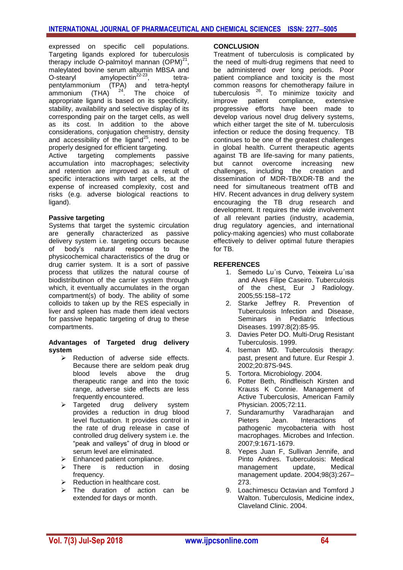expressed on specific cell populations. Targeting ligands explored for tuberculosis therapy include O-palmitoyl mannan  $(OPM)^{21}$ , maleylated bovine serum albumin MBSA and O-stearyl amylopectin $22-23$ . , tetrapentylammonium (TPA) and tetra-heptyl ammonium  $(THA)^2$ <sup>24</sup>. The choice of appropriate ligand is based on its specificity, stability, availability and selective display of its corresponding pair on the target cells, as well as its cost. In addition to the above considerations, conjugation chemistry, density and accessibility of the ligand<sup>25</sup>, need to be properly designed for efficient targeting.

Active targeting complements passive accumulation into macrophages; selectivity and retention are improved as a result of specific interactions with target cells, at the expense of increased complexity, cost and risks (e.g. adverse biological reactions to ligand).

## **Passive targeting**

Systems that target the systemic circulation are generally characterized as passive delivery system i.e. targeting occurs because of body's natural response to the physicochemical characteristics of the drug or drug carrier system. It is a sort of passive process that utilizes the natural course of biodistributinon of the carrier system through which, it eventually accumulates in the organ compartment(s) of body. The ability of some colloids to taken up by the RES especially in liver and spleen has made them ideal vectors for passive hepatic targeting of drug to these compartments.

## **Advantages of Targeted drug delivery system**

- $\triangleright$  Reduction of adverse side effects. Because there are seldom peak drug blood levels above the drug therapeutic range and into the toxic range, adverse side effects are less frequently encountered.
- > Targeted drug delivery system provides a reduction in drug blood level fluctuation. It provides control in the rate of drug release in case of controlled drug delivery system i.e. the "peak and valleys" of drug in blood or serum level are eliminated.
- $\triangleright$  Enhanced patient compliance.
- $\triangleright$  There is reduction in dosing frequency.
- $\triangleright$  Reduction in healthcare cost.
- $\triangleright$  The duration of action can be extended for days or month.

#### **CONCLUSION**

Treatment of tuberculosis is complicated by the need of multi-drug regimens that need to be administered over long periods. Poor patient compliance and toxicity is the most common reasons for chemotherapy failure in tuberculosis  $26$ . To minimize toxicity and improve patient compliance, extensive progressive efforts have been made to develop various novel drug delivery systems, which either target the site of M. tuberculosis infection or reduce the dosing frequency. TB continues to be one of the greatest challenges in global health. Current therapeutic agents against TB are life-saving for many patients, but cannot overcome increasing new challenges, including the creation and dissemination of MDR-TB/XDR-TB and the need for simultaneous treatment ofTB and HIV. Recent advances in drug delivery system encouraging the TB drug research and development. It requires the wide involvement of all relevant parties (industry, academia, drug regulatory agencies, and international policy-making agencies) who must collaborate effectively to deliver optimal future therapies for TB.

## **REFERENCES**

- 1. Semedo Lu´ıs Curvo, Teixeira Lu´ısa and Alves Filipe Caseiro. Tuberculosis of the chest, Eur J Radiology. 2005;55:158–172
- 2. Starke Jeffrey R. Prevention of Tuberculosis Infection and Disease, Seminars in Pediatric Infectious Diseases. 1997;8(2):85-95.
- 3. [Davies](mailto:p.d.o.davies@liverpool.ac.uk) Peter DO. Multi-Drug Resistant Tuberculosis. 1999.
- 4. Iseman MD. Tuberculosis therapy: past, present and future. Eur Respir J. 2002;20:87S-94S.
- 5. Tortora. Microbiology. 2004.
- 6. Potter Beth, Rindfleisch Kirsten and Krauss K Connie. Management of Active Tuberculosis, American Family Physician. 2005;72:11.
- 7. Sundaramurthy Varadharajan and Pieters Jean. Interactions of pathogenic mycobacteria with host macrophages. Microbes and Infection. 2007;9:1671-1679.
- 8. Yepes Juan F, Sullivan Jennife, and Pinto Andres. Tuberculosis: Medical management update, Medical management update. 2004;98(3):267– 273.
- 9. Loachimescu Octavian and Tomford J Walton. Tuberculosis, Medicine index. Claveland Clinic. 2004.